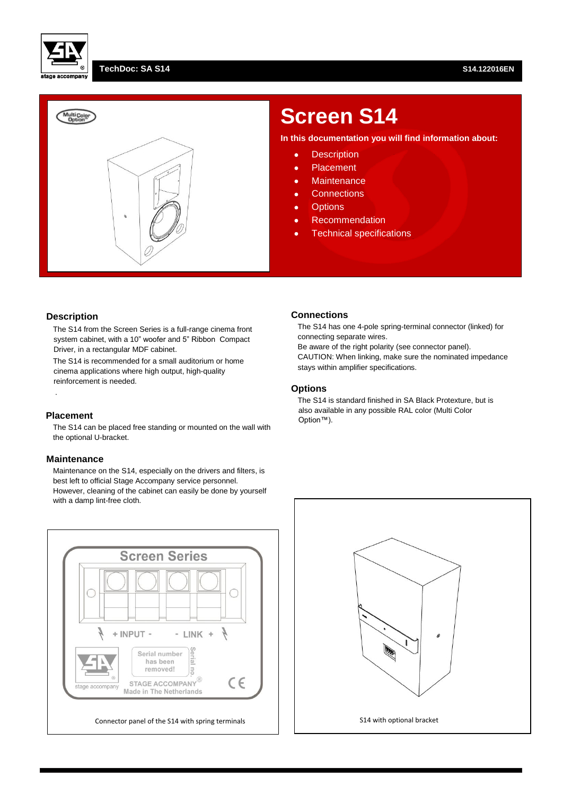

### **TechDoc: SA S14 S14.122016EN**



# **Screen S14**

**In this documentation you will find information about:**

- **•** Description
- Placement
- Maintenance
- **•** Connections
- **•** Options
- Recommendation
- **•** Technical specifications

### **Description**

The S14 from the Screen Series is a full-range cinema front system cabinet, with a 10" woofer and 5" Ribbon Compact Driver, in a rectangular MDF cabinet.

The S14 is recommended for a small auditorium or home cinema applications where high output, high-quality reinforcement is needed.

#### **Placement**

.

The S14 can be placed free standing or mounted on the wall with the optional U-bracket.

#### **Maintenance**

Maintenance on the S14, especially on the drivers and filters, is best left to official Stage Accompany service personnel. However, cleaning of the cabinet can easily be done by yourself with a damp lint-free cloth.



#### **Connections**

The S14 has one 4-pole spring-terminal connector (linked) for connecting separate wires.

Be aware of the right polarity (see connector panel). CAUTION: When linking, make sure the nominated impedance stays within amplifier specifications.

#### **Options**

The S14 is standard finished in SA Black Protexture, but is also available in any possible RAL color (Multi Color Option™).